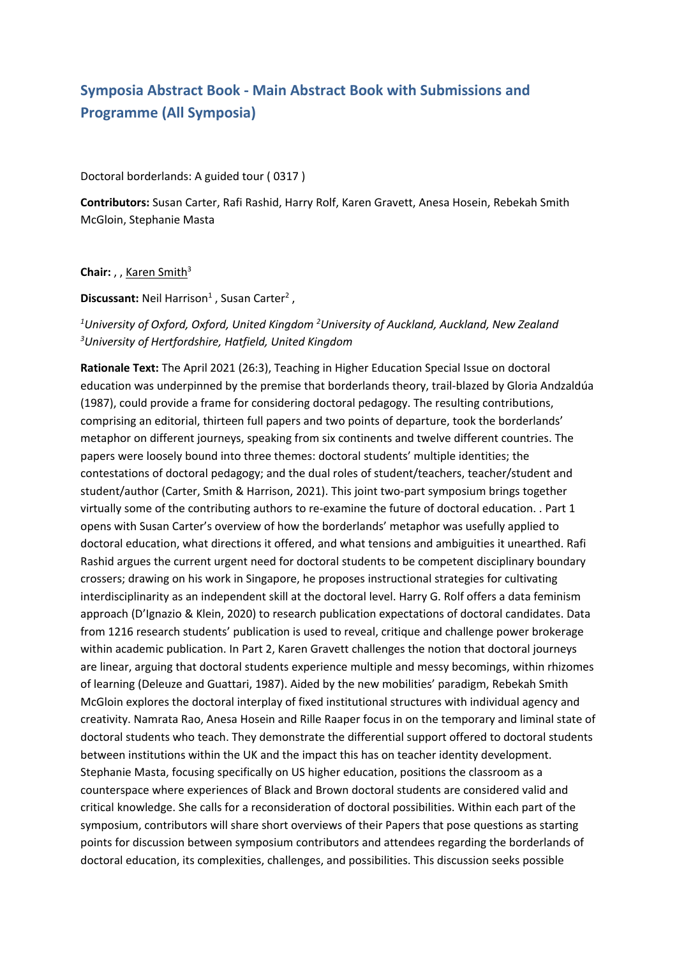# **Symposia Abstract Book - Main Abstract Book with Submissions and Programme (All Symposia)**

Doctoral borderlands: A guided tour ( 0317 )

**Contributors:** Susan Carter, Rafi Rashid, Harry Rolf, Karen Gravett, Anesa Hosein, Rebekah Smith McGloin, Stephanie Masta

**Chair:** , , Karen Smith<sup>3</sup>

**Discussant:** Neil Harrison<sup>1</sup> , Susan Carter<sup>2</sup> ,

### *1 University of Oxford, Oxford, United Kingdom <sup>2</sup> University of Auckland, Auckland, New Zealand 3 University of Hertfordshire, Hatfield, United Kingdom*

**Rationale Text:** The April 2021 (26:3), Teaching in Higher Education Special Issue on doctoral education was underpinned by the premise that borderlands theory, trail-blazed by Gloria Andzaldúa (1987), could provide <sup>a</sup> frame for considering doctoral pedagogy. The resulting contributions, comprising an editorial, thirteen full papers and two points of departure, took the borderlands' metaphor on different journeys, speaking from six continents and twelve different countries. The papers were loosely bound into three themes: doctoral students' multiple identities; the contestations of doctoral pedagogy; and the dual roles of student/teachers, teacher/student and student/author (Carter, Smith & Harrison, 2021). This joint two-part symposium brings together virtually some of the contributing authors to re-examine the future of doctoral education. . Part 1 opens with Susan Carter's overview of how the borderlands' metaphor was usefully applied to doctoral education, what directions it offered, and what tensions and ambiguities it unearthed. Rafi Rashid argues the current urgent need for doctoral students to be competent disciplinary boundary crossers; drawing on his work in Singapore, he proposes instructional strategies for cultivating interdisciplinarity as an independent skill at the doctoral level. Harry G. Rolf offers <sup>a</sup> data feminism approach (D'Ignazio & Klein, 2020) to research publication expectations of doctoral candidates. Data from 1216 research students' publication is used to reveal, critique and challenge power brokerage within academic publication. In Part 2, Karen Gravett challenges the notion that doctoral journeys are linear, arguing that doctoral students experience multiple and messy becomings, within rhizomes of learning (Deleuze and Guattari, 1987). Aided by the new mobilities' paradigm, Rebekah Smith McGloin explores the doctoral interplay of fixed institutional structures with individual agency and creativity. Namrata Rao, Anesa Hosein and Rille Raaper focus in on the temporary and liminal state of doctoral students who teach. They demonstrate the differential support offered to doctoral students between institutions within the UK and the impact this has on teacher identity development. Stephanie Masta, focusing specifically on US higher education, positions the classroom as <sup>a</sup> counterspace where experiences of Black and Brown doctoral students are considered valid and critical knowledge. She calls for <sup>a</sup> reconsideration of doctoral possibilities. Within each part of the symposium, contributors will share short overviews of their Papers that pose questions as starting points for discussion between symposium contributors and attendees regarding the borderlands of doctoral education, its complexities, challenges, and possibilities. This discussion seeks possible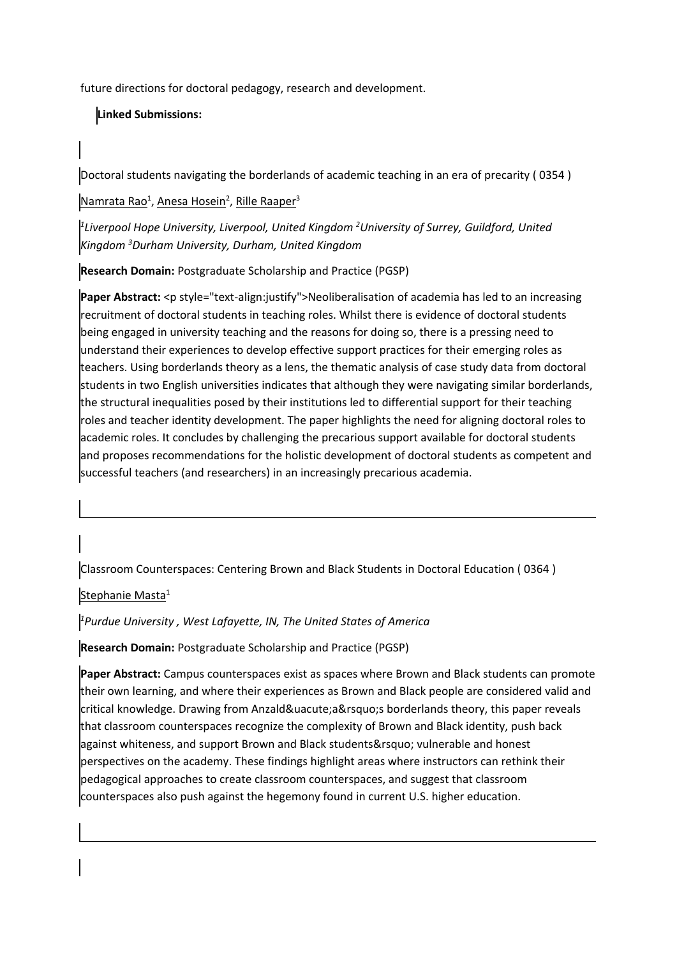future directions for doctoral pedagogy, research and development.

## **Linked Submissions:**

Doctoral students navigating the borderlands of academic teaching in an era of precarity ( 0354 )

Namrata Rao<sup>1</sup>, <u>Anesa Hosein<sup>2</sup>, Rille Raaper</u><sup>3</sup>

*1 Liverpool Hope University, Liverpool, United Kingdom <sup>2</sup> University of Surrey, Guildford, United Kingdom <sup>3</sup> Durham University, Durham, United Kingdom*

**Research Domain:** Postgraduate Scholarship and Practice (PGSP)

**Paper Abstract:** <p style="text-align:justify">Neoliberalisation of academia has led to an increasing recruitment of doctoral students in teaching roles. Whilst there is evidence of doctoral students being engaged in university teaching and the reasons for doing so, there is <sup>a</sup> pressing need to understand their experiences to develop effective support practices for their emerging roles as teachers. Using borderlands theory as <sup>a</sup> lens, the thematic analysis of case study data from doctoral students in two English universities indicates that although they were navigating similar borderlands, the structural inequalities posed by their institutions led to differential support for their teaching roles and teacher identity development. The paper highlights the need for aligning doctoral roles to academic roles. It concludes by challenging the precarious support available for doctoral students and proposes recommendations for the holistic development of doctoral students as competent and successful teachers (and researchers) in an increasingly precarious academia.

Classroom Counterspaces: Centering Brown and Black Students in Doctoral Education ( 0364 )

Stephanie Masta<sup>1</sup>

*1 Purdue University , West Lafayette, IN, The United States of America*

**Research Domain:** Postgraduate Scholarship and Practice (PGSP)

**Paper Abstract:** Campus counterspaces exist as spaces where Brown and Black students can promote their own learning, and where their experiences as Brown and Black people are considered valid and  $c$ ritical knowledge. Drawing from Anzald & uacute; a & rsquo; s borderlands theory, this paper reveals that classroom counterspaces recognize the complexity of Brown and Black identity, push back against whiteness, and support Brown and Black students' vulnerable and honest perspectives on the academy. These findings highlight areas where instructors can rethink their pedagogical approaches to create classroom counterspaces, and suggest that classroom counterspaces also push against the hegemony found in current U.S. higher education.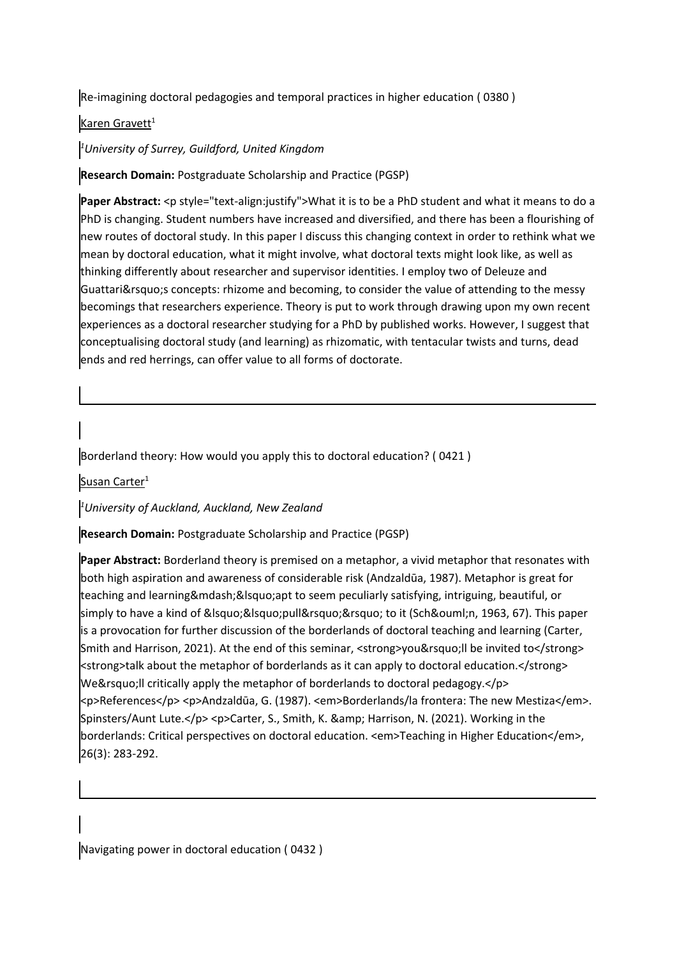Re-imagining doctoral pedagogies and temporal practices in higher education ( 0380 )

#### Karen Gravett $^{\rm 1}$

#### *1 University of Surrey, Guildford, United Kingdom*

**Research Domain:** Postgraduate Scholarship and Practice (PGSP)

**Paper Abstract:** <p style="text-align:justify">What it is to be <sup>a</sup> PhD student and what it means to do <sup>a</sup> PhD is changing. Student numbers have increased and diversified, and there has been <sup>a</sup> flourishing of new routes of doctoral study. In this paper I discuss this changing context in order to rethink what we mean by doctoral education, what it might involve, what doctoral texts might look like, as well as thinking differently about researcher and supervisor identities. I employ two of Deleuze and Guattari's concepts: rhizome and becoming, to consider the value of attending to the messy becomings that researchers experience. Theory is put to work through drawing upon my own recent experiences as <sup>a</sup> doctoral researcher studying for <sup>a</sup> PhD by published works. However, I suggest that conceptualising doctoral study (and learning) as rhizomatic, with tentacular twists and turns, dead ends and red herrings, can offer value to all forms of doctorate.

Borderland theory: How would you apply this to doctoral education? ( 0421 )

Susan Carter<sup>1</sup>

*1 University of Auckland, Auckland, New Zealand*

**Research Domain:** Postgraduate Scholarship and Practice (PGSP)

**Paper Abstract:** Borderland theory is premised on <sup>a</sup> metaphor, <sup>a</sup> vivid metaphor that resonates with both high aspiration and awareness of considerable risk (Andzaldūa, 1987). Metaphor is great for teaching and learning—&Isquo;apt to seem peculiarly satisfying, intriguing, beautiful, or simply to have a kind of ''pull'' to it (Schön, 1963, 67). This paper is <sup>a</sup> provocation for further discussion of the borderlands of doctoral teaching and learning (Carter, Smith and Harrison, 2021). At the end of this seminar, <strong>you&rsquo; Il be invited to</strong> <strong>talk about the metaphor of borderlands as it can apply to doctoral education.</strong> We $\&$ rsquo; Il critically apply the metaphor of borderlands to doctoral pedagogy. $<$ /p> <p>References</p> <p>Andzaldūa, G. (1987). <em>Borderlands/la frontera: The new Mestiza</em>. Spinsters/Aunt Lute.</p><p>Carter, S., Smith, K. & amp; Harrison, N. (2021). Working in the borderlands: Critical perspectives on doctoral education. <em>Teaching in Higher Education</em>, 26(3): 283-292.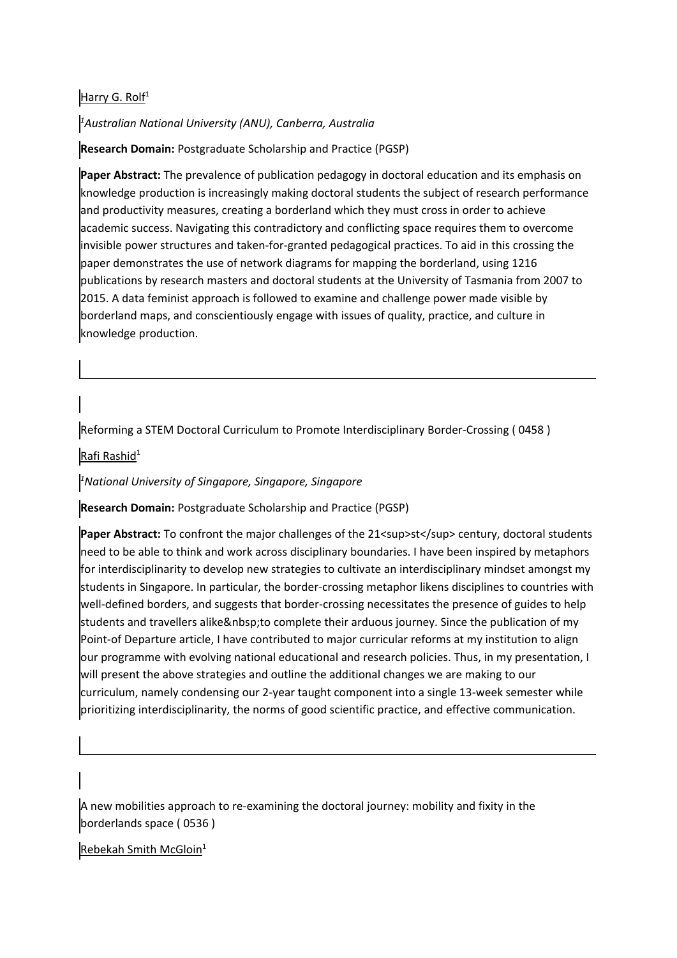### <u>Harry G. Rolf</u> $^1$

*1 Australian National University (ANU), Canberra, Australia*

**Research Domain:** Postgraduate Scholarship and Practice (PGSP)

**Paper Abstract:** The prevalence of publication pedagogy in doctoral education and its emphasis on knowledge production is increasingly making doctoral students the subject of research performance and productivity measures, creating <sup>a</sup> borderland which they must cross in order to achieve academic success. Navigating this contradictory and conflicting space requires them to overcome invisible power structures and taken-for-granted pedagogical practices. To aid in this crossing the paper demonstrates the use of network diagrams for mapping the borderland, using 1216 publications by research masters and doctoral students at the University of Tasmania from 2007 to 2015. A data feminist approach is followed to examine and challenge power made visible by borderland maps, and conscientiously engage with issues of quality, practice, and culture in knowledge production.

Reforming <sup>a</sup> STEM Doctoral Curriculum to Promote Interdisciplinary Border-Crossing ( 0458 )

Rafi Rashid<sup>1</sup>

*1 National University of Singapore, Singapore, Singapore*

**Research Domain:** Postgraduate Scholarship and Practice (PGSP)

**Paper Abstract:** To confront the major challenges of the 21<sup>st</sup> century, doctoral students need to be able to think and work across disciplinary boundaries. I have been inspired by metaphors for interdisciplinarity to develop new strategies to cultivate an interdisciplinary mindset amongst my students in Singapore. In particular, the border-crossing metaphor likens disciplines to countries with well-defined borders, and suggests that border-crossing necessitates the presence of guides to help students and travellers alike to complete their arduous journey. Since the publication of my Point-of Departure article, I have contributed to major curricular reforms at my institution to align our programme with evolving national educational and research policies. Thus, in my presentation, I will present the above strategies and outline the additional changes we are making to our curriculum, namely condensing our 2-year taught component into <sup>a</sup> single 13-week semester while prioritizing interdisciplinarity, the norms of good scientific practice, and effective communication.

A new mobilities approach to re-examining the doctoral journey: mobility and fixity in the borderlands space ( 0536 )

Rebekah Smith McGloin<sup>1</sup>